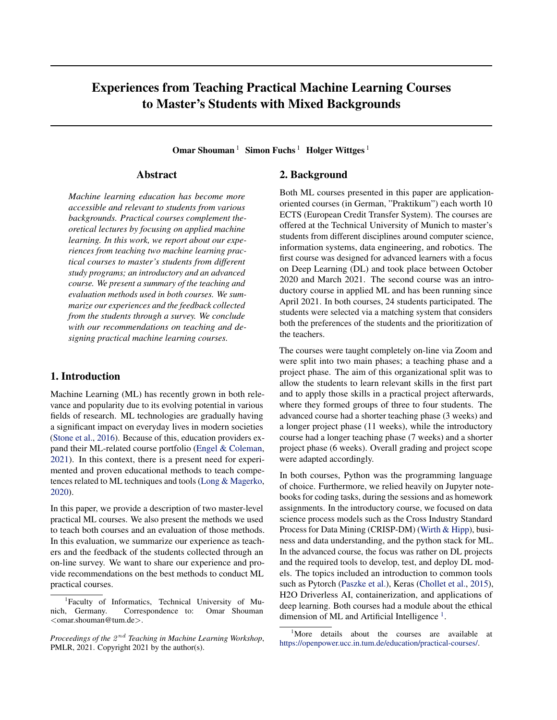# Experiences from Teaching Practical Machine Learning Courses to Master's Students with Mixed Backgrounds

Omar Shouman<sup>1</sup> Simon Fuchs<sup>1</sup> Holger Wittges<sup>1</sup>

# Abstract

*Machine learning education has become more accessible and relevant to students from various backgrounds. Practical courses complement theoretical lectures by focusing on applied machine learning. In this work, we report about our experiences from teaching two machine learning practical courses to master's students from different study programs; an introductory and an advanced course. We present a summary of the teaching and evaluation methods used in both courses. We summarize our experiences and the feedback collected from the students through a survey. We conclude with our recommendations on teaching and designing practical machine learning courses.*

# 1. Introduction

Machine Learning (ML) has recently grown in both relevance and popularity due to its evolving potential in various fields of research. ML technologies are gradually having a significant impact on everyday lives in modern societies [\(Stone et al.,](#page-4-0) [2016\)](#page-4-0). Because of this, education providers expand their ML-related course portfolio [\(Engel & Coleman,](#page-4-0) [2021\)](#page-4-0). In this context, there is a present need for experimented and proven educational methods to teach competences related to ML techniques and tools [\(Long & Magerko,](#page-4-0) [2020\)](#page-4-0).

In this paper, we provide a description of two master-level practical ML courses. We also present the methods we used to teach both courses and an evaluation of those methods. In this evaluation, we summarize our experience as teachers and the feedback of the students collected through an on-line survey. We want to share our experience and provide recommendations on the best methods to conduct ML practical courses.

# 2. Background

Both ML courses presented in this paper are applicationoriented courses (in German, "Praktikum") each worth 10 ECTS (European Credit Transfer System). The courses are offered at the Technical University of Munich to master's students from different disciplines around computer science, information systems, data engineering, and robotics. The first course was designed for advanced learners with a focus on Deep Learning (DL) and took place between October 2020 and March 2021. The second course was an introductory course in applied ML and has been running since April 2021. In both courses, 24 students participated. The students were selected via a matching system that considers both the preferences of the students and the prioritization of the teachers.

The courses were taught completely on-line via Zoom and were split into two main phases; a teaching phase and a project phase. The aim of this organizational split was to allow the students to learn relevant skills in the first part and to apply those skills in a practical project afterwards, where they formed groups of three to four students. The advanced course had a shorter teaching phase (3 weeks) and a longer project phase (11 weeks), while the introductory course had a longer teaching phase (7 weeks) and a shorter project phase (6 weeks). Overall grading and project scope were adapted accordingly.

In both courses, Python was the programming language of choice. Furthermore, we relied heavily on Jupyter notebooks for coding tasks, during the sessions and as homework assignments. In the introductory course, we focused on data science process models such as the Cross Industry Standard Process for Data Mining (CRISP-DM) [\(Wirth & Hipp\)](#page-4-0), business and data understanding, and the python stack for ML. In the advanced course, the focus was rather on DL projects and the required tools to develop, test, and deploy DL models. The topics included an introduction to common tools such as Pytorch [\(Paszke et al.\)](#page-4-0), Keras [\(Chollet et al.,](#page-4-0) [2015\)](#page-4-0), H2O Driverless AI, containerization, and applications of deep learning. Both courses had a module about the ethical dimension of ML and Artificial Intelligence<sup>1</sup>.

<sup>1</sup> Faculty of Informatics, Technical University of Munich, Germany. Correspondence to: Omar Shouman <omar.shouman@tum.de>.

Proceedings of the  $2^{nd}$  Teaching in Machine Learning Workshop, PMLR, 2021. Copyright 2021 by the author(s).

<sup>&</sup>lt;sup>1</sup>More details about the courses are available at [https://openpower.ucc.in.tum.de/education/practical-courses/.](https://openpower.ucc.in.tum.de/education/practical-courses/)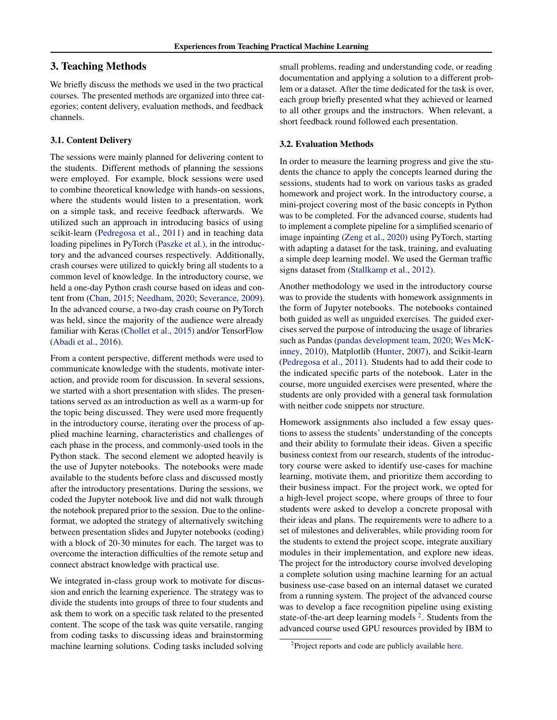# 3. Teaching Methods

We briefly discuss the methods we used in the two practical courses. The presented methods are organized into three categories; content delivery, evaluation methods, and feedback channels.

#### 3.1. Content Delivery

The sessions were mainly planned for delivering content to the students. Different methods of planning the sessions were employed. For example, block sessions were used to combine theoretical knowledge with hands-on sessions, where the students would listen to a presentation, work on a simple task, and receive feedback afterwards. We utilized such an approach in introducing basics of using scikit-learn [\(Pedregosa et al.,](#page-4-0) [2011\)](#page-4-0) and in teaching data loading pipelines in PyTorch [\(Paszke et al.\)](#page-4-0), in the introductory and the advanced courses respectively. Additionally, crash courses were utilized to quickly bring all students to a common level of knowledge. In the introductory course, we held a one-day Python crash course based on ideas and content from [\(Chan,](#page-4-0) [2015;](#page-4-0) [Needham,](#page-4-0) [2020;](#page-4-0) [Severance,](#page-4-0) [2009\)](#page-4-0). In the advanced course, a two-day crash course on PyTorch was held, since the majority of the audience were already familiar with Keras [\(Chollet et al.,](#page-4-0) [2015\)](#page-4-0) and/or TensorFlow [\(Abadi et al.,](#page-4-0) [2016\)](#page-4-0).

From a content perspective, different methods were used to communicate knowledge with the students, motivate interaction, and provide room for discussion. In several sessions, we started with a short presentation with slides. The presentations served as an introduction as well as a warm-up for the topic being discussed. They were used more frequently in the introductory course, iterating over the process of applied machine learning, characteristics and challenges of each phase in the process, and commonly-used tools in the Python stack. The second element we adopted heavily is the use of Jupyter notebooks. The notebooks were made available to the students before class and discussed mostly after the introductory presentations. During the sessions, we coded the Jupyter notebook live and did not walk through the notebook prepared prior to the session. Due to the onlineformat, we adopted the strategy of alternatively switching between presentation slides and Jupyter notebooks (coding) with a block of 20-30 minutes for each. The target was to overcome the interaction difficulties of the remote setup and connect abstract knowledge with practical use.

We integrated in-class group work to motivate for discussion and enrich the learning experience. The strategy was to divide the students into groups of three to four students and ask them to work on a specific task related to the presented content. The scope of the task was quite versatile, ranging from coding tasks to discussing ideas and brainstorming machine learning solutions. Coding tasks included solving

small problems, reading and understanding code, or reading documentation and applying a solution to a different problem or a dataset. After the time dedicated for the task is over, each group briefly presented what they achieved or learned to all other groups and the instructors. When relevant, a short feedback round followed each presentation.

# 3.2. Evaluation Methods

In order to measure the learning progress and give the students the chance to apply the concepts learned during the sessions, students had to work on various tasks as graded homework and project work. In the introductory course, a mini-project covering most of the basic concepts in Python was to be completed. For the advanced course, students had to implement a complete pipeline for a simplified scenario of image inpainting [\(Zeng et al.,](#page-5-0) [2020\)](#page-5-0) using PyTorch, starting with adapting a dataset for the task, training, and evaluating a simple deep learning model. We used the German traffic signs dataset from [\(Stallkamp et al.,](#page-4-0) [2012\)](#page-4-0).

Another methodology we used in the introductory course was to provide the students with homework assignments in the form of Jupyter notebooks. The notebooks contained both guided as well as unguided exercises. The guided exercises served the purpose of introducing the usage of libraries such as Pandas [\(pandas development team,](#page-4-0) [2020;](#page-4-0) [Wes McK](#page-4-0)[inney,](#page-4-0) [2010\)](#page-4-0), Matplotlib [\(Hunter,](#page-4-0) [2007\)](#page-4-0), and Scikit-learn [\(Pedregosa et al.,](#page-4-0) [2011\)](#page-4-0). Students had to add their code to the indicated specific parts of the notebook. Later in the course, more unguided exercises were presented, where the students are only provided with a general task formulation with neither code snippets nor structure.

Homework assignments also included a few essay questions to assess the students' understanding of the concepts and their ability to formulate their ideas. Given a specific business context from our research, students of the introductory course were asked to identify use-cases for machine learning, motivate them, and prioritize them according to their business impact. For the project work, we opted for a high-level project scope, where groups of three to four students were asked to develop a concrete proposal with their ideas and plans. The requirements were to adhere to a set of milestones and deliverables, while providing room for the students to extend the project scope, integrate auxiliary modules in their implementation, and explore new ideas. The project for the introductory course involved developing a complete solution using machine learning for an actual business use-case based on an internal dataset we curated from a running system. The project of the advanced course was to develop a face recognition pipeline using existing state-of-the-art deep learning models  $2$ . Students from the advanced course used GPU resources provided by IBM to

<sup>&</sup>lt;sup>2</sup>Project reports and code are publicly available [here.](https://openpower.ucc.in.tum.de/education/practical-courses/winter-2020-2021/)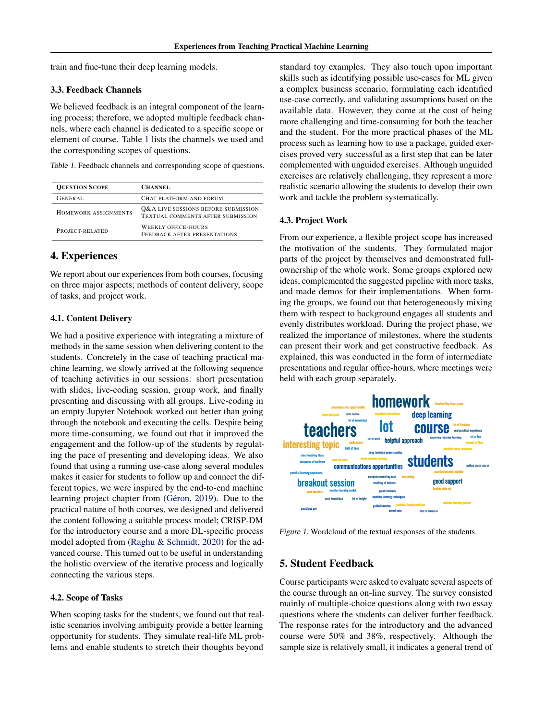<span id="page-2-0"></span>train and fine-tune their deep learning models.

## 3.3. Feedback Channels

We believed feedback is an integral component of the learning process; therefore, we adopted multiple feedback channels, where each channel is dedicated to a specific scope or element of course. Table 1 lists the channels we used and the corresponding scopes of questions.

Table 1. Feedback channels and corresponding scope of questions.

| <b>QUESTION SCOPE</b> | <b>CHANNEL</b>                                                           |
|-----------------------|--------------------------------------------------------------------------|
| GENERAL               | CHAT PLATFORM AND FORUM                                                  |
| HOMEWORK ASSIGNMENTS  | Q&A LIVE SESSIONS BEFORE SUBMISSION<br>TEXTUAL COMMENTS AFTER SUBMISSION |
| PROJECT-RELATED       | <b>WEEKLY OFFICE-HOURS</b><br>FEEDBACK AFTER PRESENTATIONS               |

# 4. Experiences

We report about our experiences from both courses, focusing on three major aspects; methods of content delivery, scope of tasks, and project work.

### 4.1. Content Delivery

We had a positive experience with integrating a mixture of methods in the same session when delivering content to the students. Concretely in the case of teaching practical machine learning, we slowly arrived at the following sequence of teaching activities in our sessions: short presentation with slides, live-coding session, group work, and finally presenting and discussing with all groups. Live-coding in an empty Jupyter Notebook worked out better than going through the notebook and executing the cells. Despite being more time-consuming, we found out that it improved the engagement and the follow-up of the students by regulating the pace of presenting and developing ideas. We also found that using a running use-case along several modules makes it easier for students to follow up and connect the different topics, we were inspired by the end-to-end machine learning project chapter from (Géron, [2019\)](#page-4-0). Due to the practical nature of both courses, we designed and delivered the content following a suitable process model; CRISP-DM for the introductory course and a more DL-specific process model adopted from [\(Raghu & Schmidt,](#page-4-0) [2020\)](#page-4-0) for the advanced course. This turned out to be useful in understanding the holistic overview of the iterative process and logically connecting the various steps.

#### 4.2. Scope of Tasks

When scoping tasks for the students, we found out that realistic scenarios involving ambiguity provide a better learning opportunity for students. They simulate real-life ML problems and enable students to stretch their thoughts beyond

standard toy examples. They also touch upon important skills such as identifying possible use-cases for ML given a complex business scenario, formulating each identified use-case correctly, and validating assumptions based on the available data. However, they come at the cost of being more challenging and time-consuming for both the teacher and the student. For the more practical phases of the ML process such as learning how to use a package, guided exercises proved very successful as a first step that can be later complemented with unguided exercises. Although unguided exercises are relatively challenging, they represent a more realistic scenario allowing the students to develop their own work and tackle the problem systematically.

#### 4.3. Project Work

From our experience, a flexible project scope has increased the motivation of the students. They formulated major parts of the project by themselves and demonstrated fullownership of the whole work. Some groups explored new ideas, complemented the suggested pipeline with more tasks, and made demos for their implementations. When forming the groups, we found out that heterogeneously mixing them with respect to background engages all students and evenly distributes workload. During the project phase, we realized the importance of milestones, where the students can present their work and get constructive feedback. As explained, this was conducted in the form of intermediate presentations and regular office-hours, where meetings were held with each group separately.



Figure 1. Wordcloud of the textual responses of the students.

### 5. Student Feedback

Course participants were asked to evaluate several aspects of the course through an on-line survey. The survey consisted mainly of multiple-choice questions along with two essay questions where the students can deliver further feedback. The response rates for the introductory and the advanced course were 50% and 38%, respectively. Although the sample size is relatively small, it indicates a general trend of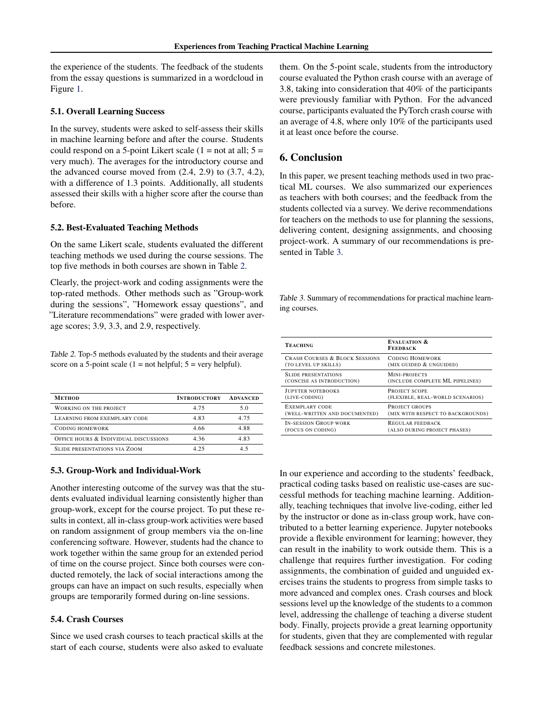the experience of the students. The feedback of the students from the essay questions is summarized in a wordcloud in Figure [1.](#page-2-0)

#### 5.1. Overall Learning Success

In the survey, students were asked to self-assess their skills in machine learning before and after the course. Students could respond on a 5-point Likert scale  $(1 = not at all; 5 =$ very much). The averages for the introductory course and the advanced course moved from  $(2.4, 2.9)$  to  $(3.7, 4.2)$ , with a difference of 1.3 points. Additionally, all students assessed their skills with a higher score after the course than before.

#### 5.2. Best-Evaluated Teaching Methods

On the same Likert scale, students evaluated the different teaching methods we used during the course sessions. The top five methods in both courses are shown in Table 2.

Clearly, the project-work and coding assignments were the top-rated methods. Other methods such as "Group-work during the sessions", "Homework essay questions", and "Literature recommendations" were graded with lower average scores; 3.9, 3.3, and 2.9, respectively.

Table 2. Top-5 methods evaluated by the students and their average score on a 5-point scale  $(1 = not helpful; 5 = very helpful).$ 

| <b>METHOD</b>                         | <b>INTRODUCTORY</b> | <b>ADVANCED</b> |
|---------------------------------------|---------------------|-----------------|
| WORKING ON THE PROJECT                | 4.75                | 5.0             |
| LEARNING FROM EXEMPLARY CODE          | 4.83                | 4.75            |
| CODING HOMEWORK                       | 4.66                | 4.88            |
| OFFICE HOURS & INDIVIDUAL DISCUSSIONS | 4.36                | 4.83            |
| <b>SLIDE PRESENTATIONS VIA ZOOM</b>   | 4 25                | 45              |

## 5.3. Group-Work and Individual-Work

Another interesting outcome of the survey was that the students evaluated individual learning consistently higher than group-work, except for the course project. To put these results in context, all in-class group-work activities were based on random assignment of group members via the on-line conferencing software. However, students had the chance to work together within the same group for an extended period of time on the course project. Since both courses were conducted remotely, the lack of social interactions among the groups can have an impact on such results, especially when groups are temporarily formed during on-line sessions.

#### 5.4. Crash Courses

Since we used crash courses to teach practical skills at the start of each course, students were also asked to evaluate them. On the 5-point scale, students from the introductory course evaluated the Python crash course with an average of 3.8, taking into consideration that 40% of the participants were previously familiar with Python. For the advanced course, participants evaluated the PyTorch crash course with an average of 4.8, where only 10% of the participants used it at least once before the course.

# 6. Conclusion

In this paper, we present teaching methods used in two practical ML courses. We also summarized our experiences as teachers with both courses; and the feedback from the students collected via a survey. We derive recommendations for teachers on the methods to use for planning the sessions, delivering content, designing assignments, and choosing project-work. A summary of our recommendations is presented in Table 3.

Table 3. Summary of recommendations for practical machine learning courses.

| <b>TEACHING</b>                           | <b>EVALUATION &amp;</b><br><b>FEEDBACK</b> |
|-------------------------------------------|--------------------------------------------|
| <b>CRASH COURSES &amp; BLOCK SESSIONS</b> | <b>CODING HOMEWORK</b>                     |
| (TO LEVEL UP SKILLS)                      | (MIX GUIDED & UNGUIDED)                    |
| <b>SLIDE PRESENTATIONS</b>                | MINI-PROJECTS                              |
| (CONCISE AS INTRODUCTION)                 | (INCLUDE COMPLETE ML PIPELINES)            |
| <b>JUPYTER NOTEBOOKS</b>                  | PROJECT SCOPE                              |
| (LIVE-CODING)                             | (FLEXIBLE, REAL-WORLD SCENARIOS)           |
| <b>EXEMPLARY CODE</b>                     | PROJECT GROUPS                             |
| (WELL-WRITTEN AND DOCUMENTED)             | (MIX WITH RESPECT TO BACKGROUNDS)          |
| <b>IN-SESSION GROUP WORK</b>              | REGULAR FEEDBACK                           |
| (FOCUS ON CODING)                         | (ALSO DURING PROJECT PHASES)               |

In our experience and according to the students' feedback, practical coding tasks based on realistic use-cases are successful methods for teaching machine learning. Additionally, teaching techniques that involve live-coding, either led by the instructor or done as in-class group work, have contributed to a better learning experience. Jupyter notebooks provide a flexible environment for learning; however, they can result in the inability to work outside them. This is a challenge that requires further investigation. For coding assignments, the combination of guided and unguided exercises trains the students to progress from simple tasks to more advanced and complex ones. Crash courses and block sessions level up the knowledge of the students to a common level, addressing the challenge of teaching a diverse student body. Finally, projects provide a great learning opportunity for students, given that they are complemented with regular feedback sessions and concrete milestones.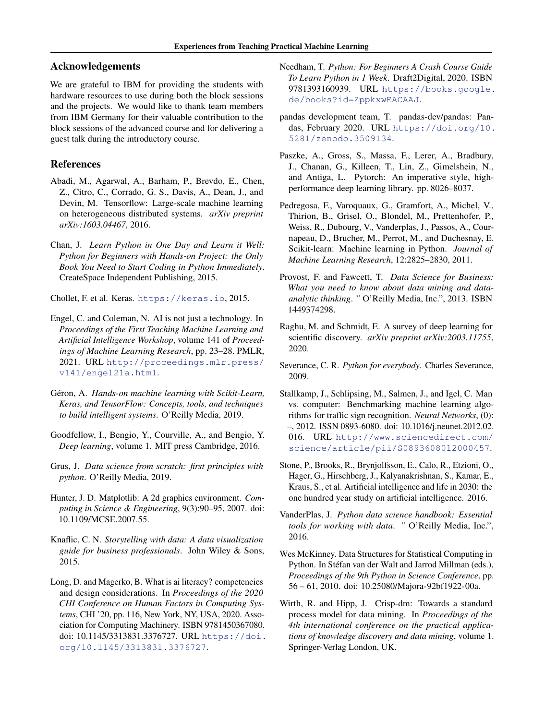# <span id="page-4-0"></span>Acknowledgements

We are grateful to IBM for providing the students with hardware resources to use during both the block sessions and the projects. We would like to thank team members from IBM Germany for their valuable contribution to the block sessions of the advanced course and for delivering a guest talk during the introductory course.

# References

- Abadi, M., Agarwal, A., Barham, P., Brevdo, E., Chen, Z., Citro, C., Corrado, G. S., Davis, A., Dean, J., and Devin, M. Tensorflow: Large-scale machine learning on heterogeneous distributed systems. *arXiv preprint arXiv:1603.04467*, 2016.
- Chan, J. *Learn Python in One Day and Learn it Well: Python for Beginners with Hands-on Project: the Only Book You Need to Start Coding in Python Immediately*. CreateSpace Independent Publishing, 2015.

Chollet, F. et al. Keras. <https://keras.io>, 2015.

- Engel, C. and Coleman, N. AI is not just a technology. In *Proceedings of the First Teaching Machine Learning and Artificial Intelligence Workshop*, volume 141 of *Proceedings of Machine Learning Research*, pp. 23–28. PMLR, 2021. URL [http://proceedings.mlr.press/](http://proceedings.mlr.press/v141/engel21a.html) [v141/engel21a.html](http://proceedings.mlr.press/v141/engel21a.html).
- Géron, A. *Hands-on machine learning with Scikit-Learn, Keras, and TensorFlow: Concepts, tools, and techniques to build intelligent systems*. O'Reilly Media, 2019.
- Goodfellow, I., Bengio, Y., Courville, A., and Bengio, Y. *Deep learning*, volume 1. MIT press Cambridge, 2016.
- Grus, J. *Data science from scratch: first principles with python*. O'Reilly Media, 2019.
- Hunter, J. D. Matplotlib: A 2d graphics environment. *Computing in Science & Engineering*, 9(3):90–95, 2007. doi: 10.1109/MCSE.2007.55.
- Knaflic, C. N. *Storytelling with data: A data visualization guide for business professionals*. John Wiley & Sons, 2015.
- Long, D. and Magerko, B. What is ai literacy? competencies and design considerations. In *Proceedings of the 2020 CHI Conference on Human Factors in Computing Systems*, CHI '20, pp. 116, New York, NY, USA, 2020. Association for Computing Machinery. ISBN 9781450367080. doi: 10.1145/3313831.3376727. URL [https://doi.](https://doi.org/10.1145/3313831.3376727) [org/10.1145/3313831.3376727](https://doi.org/10.1145/3313831.3376727).
- Needham, T. *Python: For Beginners A Crash Course Guide To Learn Python in 1 Week*. Draft2Digital, 2020. ISBN 9781393160939. URL [https://books.google.](https://books.google.de/books?id=ZppkxwEACAAJ) [de/books?id=ZppkxwEACAAJ](https://books.google.de/books?id=ZppkxwEACAAJ).
- pandas development team, T. pandas-dev/pandas: Pandas, February 2020. URL [https://doi.org/10.](https://doi.org/10.5281/zenodo.3509134) [5281/zenodo.3509134](https://doi.org/10.5281/zenodo.3509134).
- Paszke, A., Gross, S., Massa, F., Lerer, A., Bradbury, J., Chanan, G., Killeen, T., Lin, Z., Gimelshein, N., and Antiga, L. Pytorch: An imperative style, highperformance deep learning library. pp. 8026–8037.
- Pedregosa, F., Varoquaux, G., Gramfort, A., Michel, V., Thirion, B., Grisel, O., Blondel, M., Prettenhofer, P., Weiss, R., Dubourg, V., Vanderplas, J., Passos, A., Cournapeau, D., Brucher, M., Perrot, M., and Duchesnay, E. Scikit-learn: Machine learning in Python. *Journal of Machine Learning Research*, 12:2825–2830, 2011.
- Provost, F. and Fawcett, T. *Data Science for Business: What you need to know about data mining and dataanalytic thinking*. " O'Reilly Media, Inc.", 2013. ISBN 1449374298.
- Raghu, M. and Schmidt, E. A survey of deep learning for scientific discovery. *arXiv preprint arXiv:2003.11755*, 2020.
- Severance, C. R. *Python for everybody*. Charles Severance, 2009.
- Stallkamp, J., Schlipsing, M., Salmen, J., and Igel, C. Man vs. computer: Benchmarking machine learning algorithms for traffic sign recognition. *Neural Networks*, (0): –, 2012. ISSN 0893-6080. doi: 10.1016/j.neunet.2012.02. 016. URL [http://www.sciencedirect.com/](http://www.sciencedirect.com/science/article/pii/S0893608012000457) [science/article/pii/S0893608012000457](http://www.sciencedirect.com/science/article/pii/S0893608012000457).
- Stone, P., Brooks, R., Brynjolfsson, E., Calo, R., Etzioni, O., Hager, G., Hirschberg, J., Kalyanakrishnan, S., Kamar, E., Kraus, S., et al. Artificial intelligence and life in 2030: the one hundred year study on artificial intelligence. 2016.
- VanderPlas, J. *Python data science handbook: Essential tools for working with data*. " O'Reilly Media, Inc.", 2016.
- Wes McKinney. Data Structures for Statistical Computing in Python. In Stéfan van der Walt and Jarrod Millman (eds.), *Proceedings of the 9th Python in Science Conference*, pp. 56 – 61, 2010. doi: 10.25080/Majora-92bf1922-00a.
- Wirth, R. and Hipp, J. Crisp-dm: Towards a standard process model for data mining. In *Proceedings of the 4th international conference on the practical applications of knowledge discovery and data mining*, volume 1. Springer-Verlag London, UK.